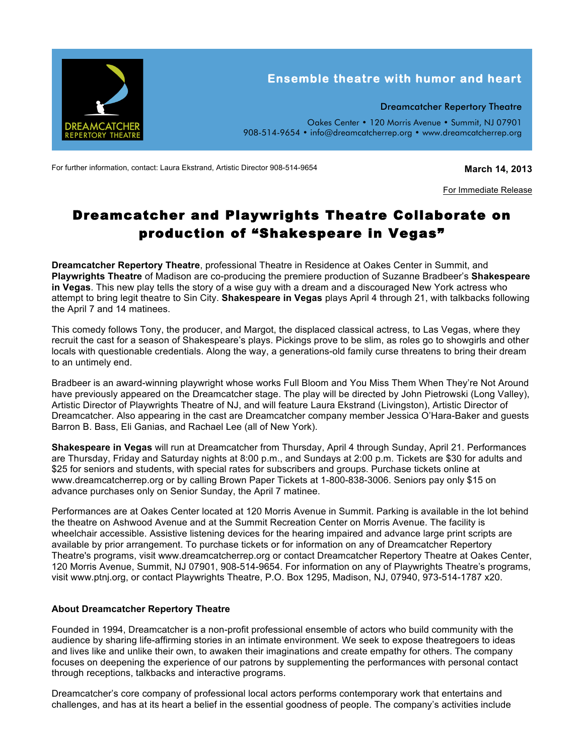

For further information, contact: Laura Ekstrand, Artistic Director 908-514-9654 **March 14, 2013**

For Immediate Release

## Dreamcatcher and Playwrights Theatre Collaborate on production of "Shakespeare in Vegas"

**Dreamcatcher Repertory Theatre**, professional Theatre in Residence at Oakes Center in Summit, and **Playwrights Theatre** of Madison are co-producing the premiere production of Suzanne Bradbeer's **Shakespeare in Vegas**. This new play tells the story of a wise guy with a dream and a discouraged New York actress who attempt to bring legit theatre to Sin City. **Shakespeare in Vegas** plays April 4 through 21, with talkbacks following the April 7 and 14 matinees.

This comedy follows Tony, the producer, and Margot, the displaced classical actress, to Las Vegas, where they recruit the cast for a season of Shakespeare's plays. Pickings prove to be slim, as roles go to showgirls and other locals with questionable credentials. Along the way, a generations-old family curse threatens to bring their dream to an untimely end.

Bradbeer is an award-winning playwright whose works Full Bloom and You Miss Them When They're Not Around have previously appeared on the Dreamcatcher stage. The play will be directed by John Pietrowski (Long Valley), Artistic Director of Playwrights Theatre of NJ, and will feature Laura Ekstrand (Livingston), Artistic Director of Dreamcatcher. Also appearing in the cast are Dreamcatcher company member Jessica O'Hara-Baker and guests Barron B. Bass, Eli Ganias, and Rachael Lee (all of New York).

**Shakespeare in Vegas** will run at Dreamcatcher from Thursday, April 4 through Sunday, April 21. Performances are Thursday, Friday and Saturday nights at 8:00 p.m., and Sundays at 2:00 p.m. Tickets are \$30 for adults and \$25 for seniors and students, with special rates for subscribers and groups. Purchase tickets online at www.dreamcatcherrep.org or by calling Brown Paper Tickets at 1-800-838-3006. Seniors pay only \$15 on advance purchases only on Senior Sunday, the April 7 matinee.

Performances are at Oakes Center located at 120 Morris Avenue in Summit. Parking is available in the lot behind the theatre on Ashwood Avenue and at the Summit Recreation Center on Morris Avenue. The facility is wheelchair accessible. Assistive listening devices for the hearing impaired and advance large print scripts are available by prior arrangement. To purchase tickets or for information on any of Dreamcatcher Repertory Theatre's programs, visit www.dreamcatcherrep.org or contact Dreamcatcher Repertory Theatre at Oakes Center, 120 Morris Avenue, Summit, NJ 07901, 908-514-9654. For information on any of Playwrights Theatre's programs, visit www.ptnj.org, or contact Playwrights Theatre, P.O. Box 1295, Madison, NJ, 07940, 973-514-1787 x20.

## **About Dreamcatcher Repertory Theatre**

Founded in 1994, Dreamcatcher is a non-profit professional ensemble of actors who build community with the audience by sharing life-affirming stories in an intimate environment. We seek to expose theatregoers to ideas and lives like and unlike their own, to awaken their imaginations and create empathy for others. The company focuses on deepening the experience of our patrons by supplementing the performances with personal contact through receptions, talkbacks and interactive programs.

Dreamcatcher's core company of professional local actors performs contemporary work that entertains and challenges, and has at its heart a belief in the essential goodness of people. The company's activities include